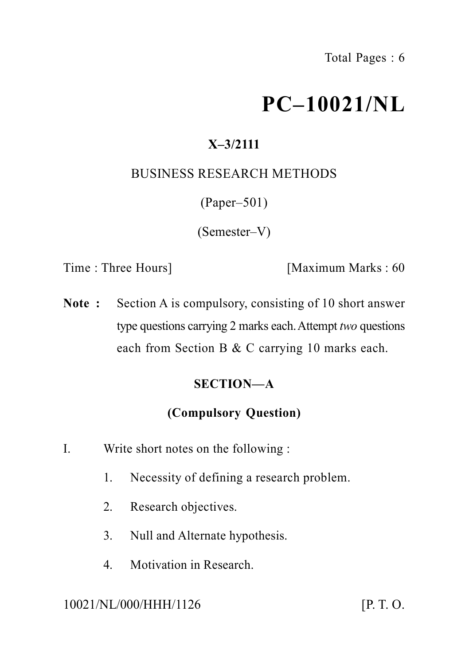# **PC–10021/NL**

# **X–3/2111**

# BUSINESS RESEARCH METHODS

(Paper–501)

(Semester–V)

Time : Three Hours] [Maximum Marks : 60

**Note :** Section A is compulsory, consisting of 10 short answer type questions carrying 2 marks each.Attempt *two* questions each from Section B & C carrying 10 marks each.

# **SECTION—A**

# **(Compulsory Question)**

- I. Write short notes on the following :
	- 1. Necessity of defining a research problem.
	- 2. Research objectives.
	- 3. Null and Alternate hypothesis.
	- 4. Motivation in Research.

10021/NL/000/HHH/1126 [P. T. O.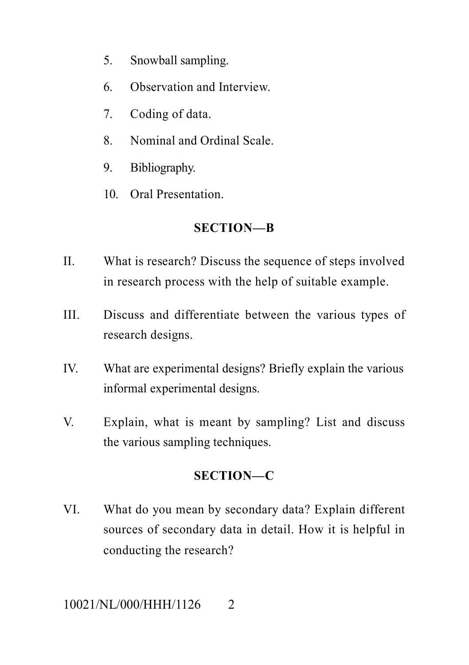- 5. Snowball sampling.
- 6. Observation and Interview.
- 7. Coding of data.
- 8. Nominal and Ordinal Scale.
- 9. Bibliography.
- 10. Oral Presentation.

## **SECTION—B**

- II. What is research? Discuss the sequence of steps involved in research process with the help of suitable example.
- III. Discuss and differentiate between the various types of research designs.
- IV. What are experimental designs? Briefly explain the various informal experimental designs.
- V. Explain, what is meant by sampling? List and discuss the various sampling techniques.

# **SECTION—C**

VI. What do you mean by secondary data? Explain different sources of secondary data in detail. How it is helpful in conducting the research?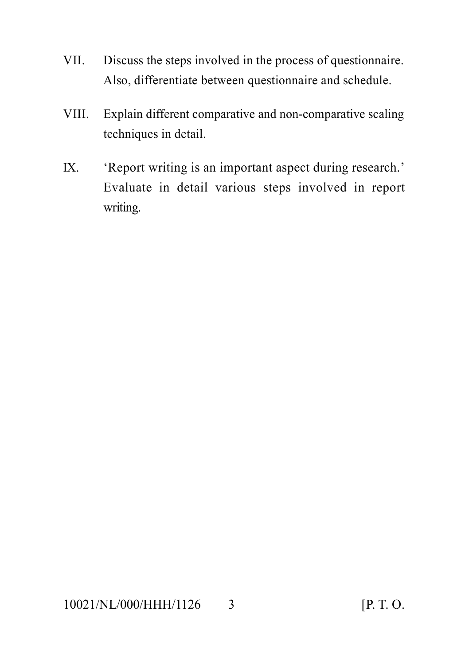- VII. Discuss the steps involved in the process of questionnaire. Also, differentiate between questionnaire and schedule.
- VIII. Explain different comparative and non-comparative scaling techniques in detail.
- IX. 'Report writing is an important aspect during research.' Evaluate in detail various steps involved in report writing.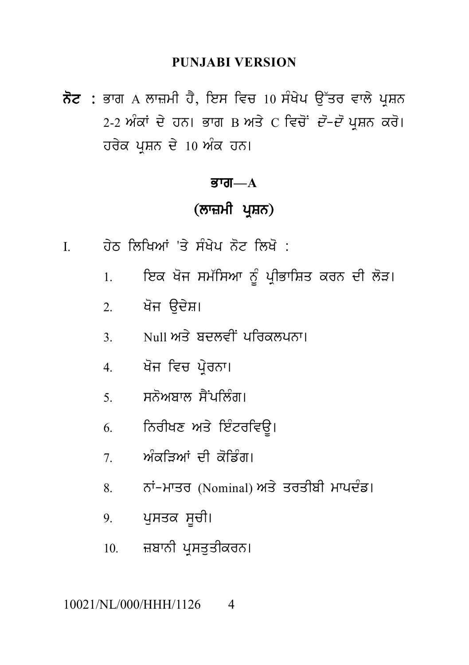### **PUNJABI VERSION**

ਨੋਟ : ਭਾਗ A ਲਾਜ਼ਮੀ ਹੈ, ਇਸ ਵਿਚ 10 ਸੰਖੇਪ ਉੱਤਰ ਵਾਲੇ ਪੁਸ਼ਨ 2-2 ਅੰਕਾਂ ਦੇ ਹਨ। ਭਾਗ B ਅਤੇ C ਵਿਚੋਂ *ਦੋ-ਦੋ* ਪੁਸ਼ਨ ਕਰੋ। ਹਰੇਕ ਪੁਸ਼ਨ ਦੇ 10 ਅੰਕ ਹਨ।

#### ਕਾਗ $-\mathbf{A}$

# (ਲਾਜ਼ਮੀ ਪੁਸ਼ਨ)

- ਹੇਠ ਲਿਖਿਆਂ 'ਤੇ ਸੰਖੇਪ ਨੋਟ ਲਿਖੋ :  $\mathbf{I}$ 
	- ਇਕ ਖੋਜ ਸਮੱਸਿਆ ਨੂੰ ਪ੍ਰੀਭਾਸ਼ਿਤ ਕਰਨ ਦੀ ਲੋੜ।  $\mathbf{1}$
	- 2. ਖੋਜ ਉਦੇਸ਼।
	- \_Null ਅਤੇ ਬਦਲਵੀਂ ਪਰਿਕਲਪਨਾ।  $\overline{3}$
	- 4. ਖੋਜ ਵਿਚ ਪ੍ਰੇਰਨਾ।
	- 5 ਸਨੋਅਬਾਲ ਸੈਂਪਲਿੰਗ।
	- ਨਿਰੀਖਣ ਅਤੇ ਇੰਟਰਵਿਊ।  $6<sup>6</sup>$
	- ਅੰਕਤਿਆਂ ਦੀ ਕੋਡਿੰਗ।  $7\overline{ }$
	- ਨਾਂ-ਮਾਤਰ (Nominal) ਅਤੇ ਤਰਤੀਬੀ ਮਾਪਦੰਡ। 8.
	- 9. ਪੁਸਤਕ ਸੂਚੀ।
	- 10. ਜ਼ਬਾਨੀ ਪੁਸਤੁਤੀਕਰਨ।

#### 10021/NL/000/HHH/1126  $\overline{4}$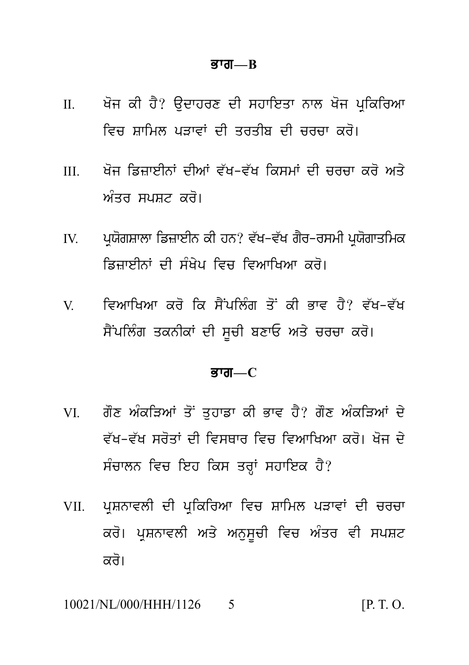#### ਭਾਗ $B$

- ਖੋਜ ਕੀ ਹੈ? ਉਦਾਹਰਣ ਦੀ ਸਹਾਇਤਾ ਨਾਲ ਖੋਜ ਪਕਿਰਿਆ  $\Pi$ ਵਿਚ ਸਾਮਿਲ ਪਤਾਵਾਂ ਦੀ ਤਰਤੀਸ਼ ਦੀ ਚਰਚਾ ਕਰੋ।
- ਖੋਜ ਡਿਜ਼ਾਈਨਾਂ ਦੀਆਂ ਵੱਖ-ਵੱਖ ਕਿਸਮਾਂ ਦੀ ਚਰਚਾ ਕਰੋ ਅਤੇ  $III$ *ਅੰਤਰ ਸਪਸਟ ਕਰੋ*।
- ਪਯੋਗਸ਼ਾਲਾ ਡਿਜ਼ਾਈਨ ਕੀ ਹਨ? ਵੱਖ-ਵੱਖ ਗੈਰ-ਰਸਮੀ ਪਯੋਗਾਤਮਿਕ  $\mathbf{I}$ ਡਿਜਾਈਨਾਂ ਦੀ ਸੰਖੇਪ ਵਿਚ ਵਿਆਖਿਆ ਕਰੋ।
- ਵਿਆਖਿਆ ਕਰੋ ਕਿ ਸੈਂਪਲਿੰਗ ਤੋਂ ਕੀ ਭਾਵ ਹੈ? ਵੱਖ-ਵੱਖ  $V$ ਸੈਂਪਲਿੰਗ ਤਕਨੀਕਾਂ ਦੀ ਸਚੀ ਬਣਾਓ ਅਤੇ ਚਰਚਾ ਕਰੋ।

#### ਭਾਗ $-C$

- ਗੌਣ ਅੰਕੜਿਆਂ ਤੋਂ ਤਹਾਡਾ ਕੀ ਭਾਵ ਹੈ? ਗੌਣ ਅੰਕੜਿਆਂ ਦੇ VI V ਵੱਖ-ਵੱਖ ਸਰੋਤਾਂ ਦੀ ਵਿਸਥਾਰ ਵਿਚ ਵਿਆਖਿਆ ਕਰੋ। ਖੋਜ ਦੇ ਸੰਚਾਲਨ ਵਿਚ ਇਹ ਕਿਸ ਤਰਾਂ ਸਹਾਇਕ ਹੈ?
- ਪਸ਼ਨਾਵਲੀ ਦੀ ਪਕਿਰਿਆ ਵਿਚ ਸ਼ਾਮਿਲ ਪੜਾਵਾਂ ਦੀ ਚਰਚਾ VII. ਕਰੋ। ਪੁਸ਼ਨਾਵਲੀ ਅਤੇ ਅਨੁਸੂਚੀ ਵਿਚ ਅੰਤਰ ਵੀ ਸਪਸ਼ਟ ਕਰੋ।

10021/NL/000/HHH/1126  $[P, T, O]$  $\zeta$